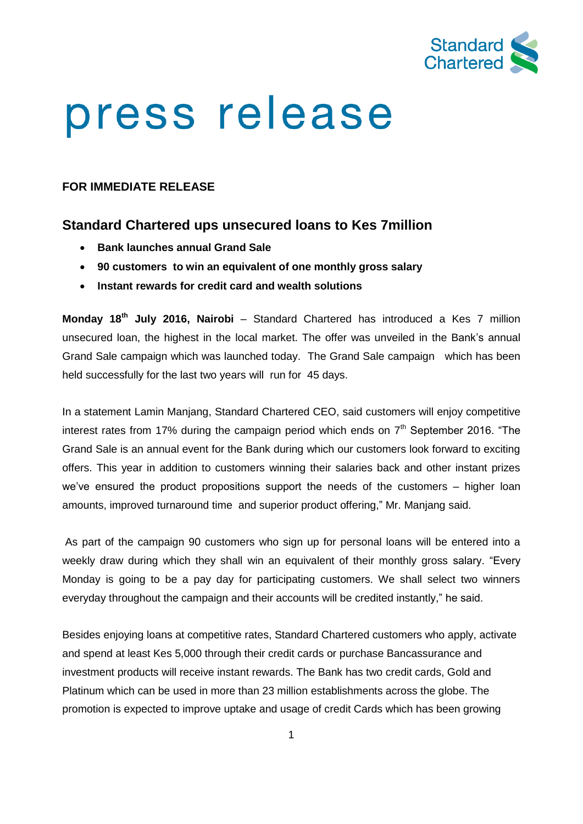

## press release

## **FOR IMMEDIATE RELEASE**

## **Standard Chartered ups unsecured loans to Kes 7million**

- **Bank launches annual Grand Sale**
- **90 customers to win an equivalent of one monthly gross salary**
- **Instant rewards for credit card and wealth solutions**

**Monday 18th July 2016, Nairobi** – Standard Chartered has introduced a Kes 7 million unsecured loan, the highest in the local market. The offer was unveiled in the Bank's annual Grand Sale campaign which was launched today. The Grand Sale campaign which has been held successfully for the last two years will run for 45 days.

In a statement Lamin Manjang, Standard Chartered CEO, said customers will enjoy competitive interest rates from 17% during the campaign period which ends on  $7<sup>th</sup>$  September 2016. "The Grand Sale is an annual event for the Bank during which our customers look forward to exciting offers. This year in addition to customers winning their salaries back and other instant prizes we've ensured the product propositions support the needs of the customers – higher loan amounts, improved turnaround time and superior product offering," Mr. Manjang said.

As part of the campaign 90 customers who sign up for personal loans will be entered into a weekly draw during which they shall win an equivalent of their monthly gross salary. "Every Monday is going to be a pay day for participating customers. We shall select two winners everyday throughout the campaign and their accounts will be credited instantly," he said.

Besides enjoying loans at competitive rates, Standard Chartered customers who apply, activate and spend at least Kes 5,000 through their credit cards or purchase Bancassurance and investment products will receive instant rewards. The Bank has two credit cards, Gold and Platinum which can be used in more than 23 million establishments across the globe. The promotion is expected to improve uptake and usage of credit Cards which has been growing